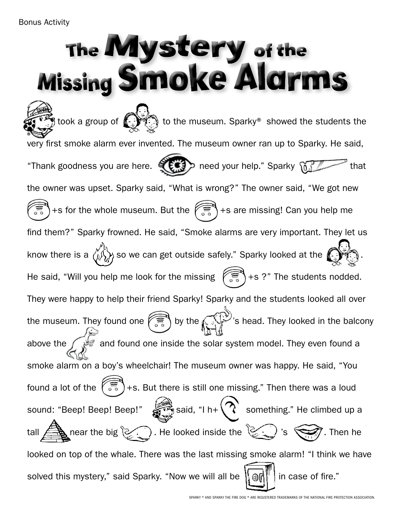## The Mystery of the Missing Smoke Alarms

took a group of  $f(x)$  to the museum. Sparky® showed the students the very first smoke alarm ever invented. The museum owner ran up to Sparky. He said, "Thank goodness you are here.  $\left( \bigoplus_{n=1}^{\infty} \mathbb{R}^n \right)$  need your help." Sparky  $\left( \bigoplus_{n=1}^{\infty} \mathbb{R}^n \right)$  that the owner was upset. Sparky said, "What is wrong?" The owner said, "We got new +s for the whole museum. But the  $\left(\widehat{\epsilon_n}\right)$  +s are missing! Can you help me find them?" Sparky frowned. He said, "Smoke alarms are very important. They let us know there is a  $\langle \hat{\psi} \rangle$  so we can get outside safely." Sparky looked at the He said, "Will you help me look for the missing  $\left(\sum_{n=1}^{\infty}$  +s ?" The students nodded. They were happy to help their friend Sparky! Sparky and the students looked all over the museum. They found one  $\widehat{K}$  by the  $\widehat{K}$  by the in they looked in the balcony above the  $\bigcap_{k\in\mathbb{N}}\mathbb{R}^n$  and found one inside the solar system model. They even found a smoke alarm on a boy's wheelchair! The museum owner was happy. He said, "You found a lot of the  $\binom{2}{\sqrt{5}}$  +s. But there is still one missing." Then there was a loud sound: "Beep! Beep! Beep!"  $\lim_{n \to \infty}$  said, "I h+  $\binom{n}{k}$  something." He climbed up a tall  $\Rightarrow$  near the big  $\geq$ . He looked inside the  $\geq$ . So  $\leq$ . Then he looked on top of the whale. There was the last missing smoke alarm! "I think we have solved this mystery," said Sparky. "Now we will all be  $\|\otimes\|^{\mathbb{N}}$  in case of fire."